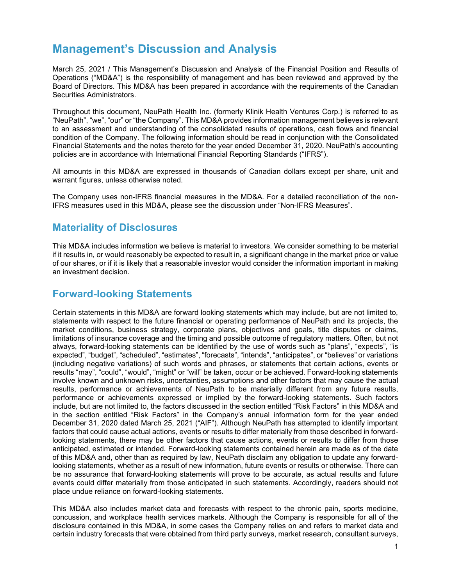# Management's Discussion and Analysis

March 25, 2021 / This Management's Discussion and Analysis of the Financial Position and Results of Operations ("MD&A") is the responsibility of management and has been reviewed and approved by the Board of Directors. This MD&A has been prepared in accordance with the requirements of the Canadian Securities Administrators.

Throughout this document, NeuPath Health Inc. (formerly Klinik Health Ventures Corp.) is referred to as "NeuPath", "we", "our" or "the Company". This MD&A provides information management believes is relevant to an assessment and understanding of the consolidated results of operations, cash flows and financial condition of the Company. The following information should be read in conjunction with the Consolidated Financial Statements and the notes thereto for the year ended December 31, 2020. NeuPath's accounting policies are in accordance with International Financial Reporting Standards ("IFRS").

All amounts in this MD&A are expressed in thousands of Canadian dollars except per share, unit and warrant figures, unless otherwise noted.

The Company uses non-IFRS financial measures in the MD&A. For a detailed reconciliation of the non-IFRS measures used in this MD&A, please see the discussion under "Non-IFRS Measures".

# Materiality of Disclosures

This MD&A includes information we believe is material to investors. We consider something to be material if it results in, or would reasonably be expected to result in, a significant change in the market price or value of our shares, or if it is likely that a reasonable investor would consider the information important in making an investment decision.

# Forward-looking Statements

Certain statements in this MD&A are forward looking statements which may include, but are not limited to, statements with respect to the future financial or operating performance of NeuPath and its projects, the market conditions, business strategy, corporate plans, objectives and goals, title disputes or claims, limitations of insurance coverage and the timing and possible outcome of regulatory matters. Often, but not always, forward-looking statements can be identified by the use of words such as "plans", "expects", "is expected", "budget", "scheduled", "estimates", "forecasts", "intends", "anticipates", or "believes" or variations (including negative variations) of such words and phrases, or statements that certain actions, events or results "may", "could", "would", "might" or "will" be taken, occur or be achieved. Forward-looking statements involve known and unknown risks, uncertainties, assumptions and other factors that may cause the actual results, performance or achievements of NeuPath to be materially different from any future results, performance or achievements expressed or implied by the forward-looking statements. Such factors include, but are not limited to, the factors discussed in the section entitled "Risk Factors" in this MD&A and in the section entitled "Risk Factors" in the Company's annual information form for the year ended December 31, 2020 dated March 25, 2021 ("AIF"). Although NeuPath has attempted to identify important factors that could cause actual actions, events or results to differ materially from those described in forwardlooking statements, there may be other factors that cause actions, events or results to differ from those anticipated, estimated or intended. Forward-looking statements contained herein are made as of the date of this MD&A and, other than as required by law, NeuPath disclaim any obligation to update any forwardlooking statements, whether as a result of new information, future events or results or otherwise. There can be no assurance that forward-looking statements will prove to be accurate, as actual results and future events could differ materially from those anticipated in such statements. Accordingly, readers should not place undue reliance on forward-looking statements.

This MD&A also includes market data and forecasts with respect to the chronic pain, sports medicine, concussion, and workplace health services markets. Although the Company is responsible for all of the disclosure contained in this MD&A, in some cases the Company relies on and refers to market data and certain industry forecasts that were obtained from third party surveys, market research, consultant surveys,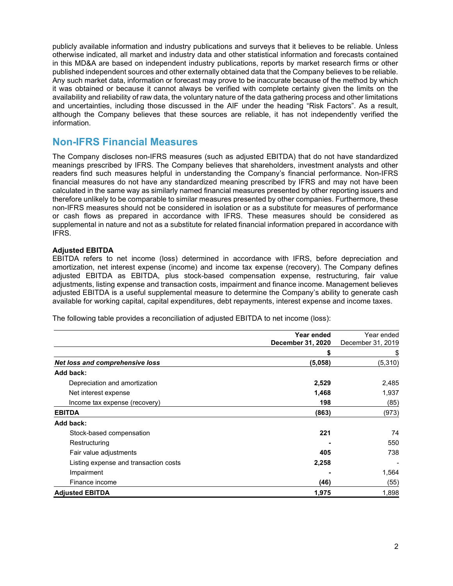publicly available information and industry publications and surveys that it believes to be reliable. Unless otherwise indicated, all market and industry data and other statistical information and forecasts contained in this MD&A are based on independent industry publications, reports by market research firms or other published independent sources and other externally obtained data that the Company believes to be reliable. Any such market data, information or forecast may prove to be inaccurate because of the method by which it was obtained or because it cannot always be verified with complete certainty given the limits on the availability and reliability of raw data, the voluntary nature of the data gathering process and other limitations and uncertainties, including those discussed in the AIF under the heading "Risk Factors". As a result, although the Company believes that these sources are reliable, it has not independently verified the information.

# Non-IFRS Financial Measures

The Company discloses non-IFRS measures (such as adjusted EBITDA) that do not have standardized meanings prescribed by IFRS. The Company believes that shareholders, investment analysts and other readers find such measures helpful in understanding the Company's financial performance. Non-IFRS financial measures do not have any standardized meaning prescribed by IFRS and may not have been calculated in the same way as similarly named financial measures presented by other reporting issuers and therefore unlikely to be comparable to similar measures presented by other companies. Furthermore, these non-IFRS measures should not be considered in isolation or as a substitute for measures of performance or cash flows as prepared in accordance with IFRS. These measures should be considered as supplemental in nature and not as a substitute for related financial information prepared in accordance with IFRS.

# Adjusted EBITDA

EBITDA refers to net income (loss) determined in accordance with IFRS, before depreciation and amortization, net interest expense (income) and income tax expense (recovery). The Company defines adjusted EBITDA as EBITDA, plus stock-based compensation expense, restructuring, fair value adjustments, listing expense and transaction costs, impairment and finance income. Management believes adjusted EBITDA is a useful supplemental measure to determine the Company's ability to generate cash available for working capital, capital expenditures, debt repayments, interest expense and income taxes.

The following table provides a reconciliation of adjusted EBITDA to net income (loss):

|                                       | Year ended        | Year ended        |
|---------------------------------------|-------------------|-------------------|
|                                       | December 31, 2020 | December 31, 2019 |
|                                       | 5                 | \$                |
| Net loss and comprehensive loss       | (5,058)           | (5, 310)          |
| Add back:                             |                   |                   |
| Depreciation and amortization         | 2,529             | 2,485             |
| Net interest expense                  | 1,468             | 1,937             |
| Income tax expense (recovery)         | 198               | (85)              |
| <b>EBITDA</b>                         | (863)             | (973)             |
| Add back:                             |                   |                   |
| Stock-based compensation              | 221               | 74                |
| Restructuring                         |                   | 550               |
| Fair value adjustments                | 405               | 738               |
| Listing expense and transaction costs | 2,258             |                   |
| Impairment                            |                   | 1,564             |
| Finance income                        | (46)              | (55)              |
| <b>Adjusted EBITDA</b>                | 1,975             | 1,898             |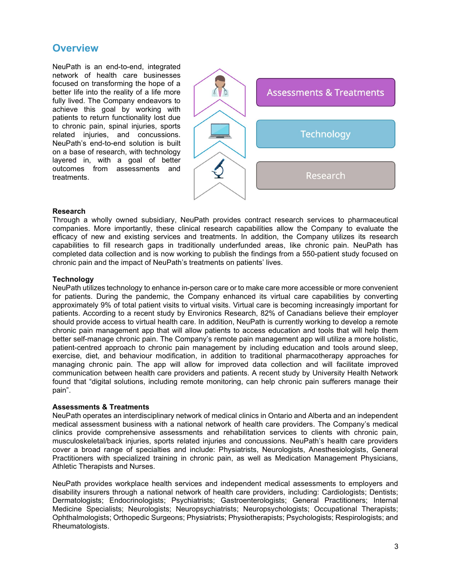# **Overview**

NeuPath is an end-to-end, integrated network of health care businesses focused on transforming the hope of a better life into the reality of a life more fully lived. The Company endeavors to achieve this goal by working with patients to return functionality lost due to chronic pain, spinal injuries, sports related injuries, and concussions. NeuPath's end-to-end solution is built on a base of research, with technology layered in, with a goal of better outcomes from assessments and treatments.



# Research

Through a wholly owned subsidiary, NeuPath provides contract research services to pharmaceutical companies. More importantly, these clinical research capabilities allow the Company to evaluate the efficacy of new and existing services and treatments. In addition, the Company utilizes its research capabilities to fill research gaps in traditionally underfunded areas, like chronic pain. NeuPath has completed data collection and is now working to publish the findings from a 550-patient study focused on chronic pain and the impact of NeuPath's treatments on patients' lives.

# **Technology**

NeuPath utilizes technology to enhance in-person care or to make care more accessible or more convenient for patients. During the pandemic, the Company enhanced its virtual care capabilities by converting approximately 9% of total patient visits to virtual visits. Virtual care is becoming increasingly important for patients. According to a recent study by Environics Research, 82% of Canadians believe their employer should provide access to virtual health care. In addition, NeuPath is currently working to develop a remote chronic pain management app that will allow patients to access education and tools that will help them better self-manage chronic pain. The Company's remote pain management app will utilize a more holistic, patient-centred approach to chronic pain management by including education and tools around sleep, exercise, diet, and behaviour modification, in addition to traditional pharmacotherapy approaches for managing chronic pain. The app will allow for improved data collection and will facilitate improved communication between health care providers and patients. A recent study by University Health Network found that "digital solutions, including remote monitoring, can help chronic pain sufferers manage their pain".

# Assessments & Treatments

NeuPath operates an interdisciplinary network of medical clinics in Ontario and Alberta and an independent medical assessment business with a national network of health care providers. The Company's medical clinics provide comprehensive assessments and rehabilitation services to clients with chronic pain, musculoskeletal/back injuries, sports related injuries and concussions. NeuPath's health care providers cover a broad range of specialties and include: Physiatrists, Neurologists, Anesthesiologists, General Practitioners with specialized training in chronic pain, as well as Medication Management Physicians, Athletic Therapists and Nurses.

NeuPath provides workplace health services and independent medical assessments to employers and disability insurers through a national network of health care providers, including: Cardiologists; Dentists; Dermatologists; Endocrinologists; Psychiatrists; Gastroenterologists; General Practitioners; Internal Medicine Specialists; Neurologists; Neuropsychiatrists; Neuropsychologists; Occupational Therapists; Ophthalmologists; Orthopedic Surgeons; Physiatrists; Physiotherapists; Psychologists; Respirologists; and Rheumatologists.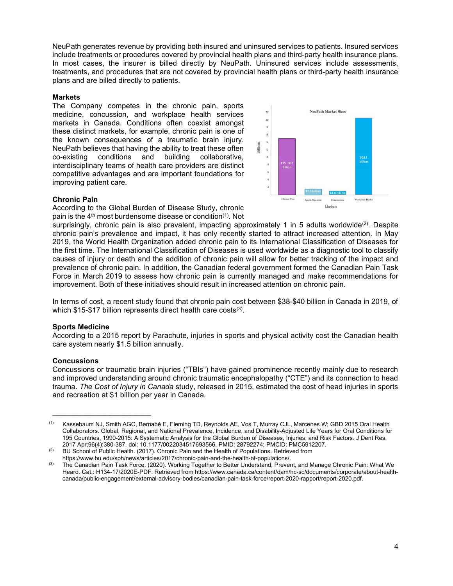NeuPath generates revenue by providing both insured and uninsured services to patients. Insured services include treatments or procedures covered by provincial health plans and third-party health insurance plans. In most cases, the insurer is billed directly by NeuPath. Uninsured services include assessments, treatments, and procedures that are not covered by provincial health plans or third-party health insurance plans and are billed directly to patients.

### **Markets**

The Company competes in the chronic pain, sports medicine, concussion, and workplace health services markets in Canada. Conditions often coexist amongst these distinct markets, for example, chronic pain is one of the known consequences of a traumatic brain injury. NeuPath believes that having the ability to treat these often<br>co-existing conditions and building collaborative. co-existing conditions and building collaborative, interdisciplinary teams of health care providers are distinct competitive advantages and are important foundations for improving patient care.



# Chronic Pain

According to the Global Burden of Disease Study, chronic pain is the 4th most burdensome disease or condition(1). Not

surprisingly, chronic pain is also prevalent, impacting approximately 1 in 5 adults worldwide<sup>(2)</sup>. Despite chronic pain's prevalence and impact, it has only recently started to attract increased attention. In May 2019, the World Health Organization added chronic pain to its International Classification of Diseases for the first time. The International Classification of Diseases is used worldwide as a diagnostic tool to classify causes of injury or death and the addition of chronic pain will allow for better tracking of the impact and prevalence of chronic pain. In addition, the Canadian federal government formed the Canadian Pain Task Force in March 2019 to assess how chronic pain is currently managed and make recommendations for improvement. Both of these initiatives should result in increased attention on chronic pain.

In terms of cost, a recent study found that chronic pain cost between \$38-\$40 billion in Canada in 2019, of which  $$15-\$17$  billion represents direct health care costs<sup>(3)</sup>.

# Sports Medicine

According to a 2015 report by Parachute, injuries in sports and physical activity cost the Canadian health care system nearly \$1.5 billion annually.

# **Concussions**

 $\mathcal{L}_\text{max}$  , where  $\mathcal{L}_\text{max}$  and  $\mathcal{L}_\text{max}$ 

Concussions or traumatic brain injuries ("TBIs") have gained prominence recently mainly due to research and improved understanding around chronic traumatic encephalopathy ("CTE") and its connection to head trauma. The Cost of Injury in Canada study, released in 2015, estimated the cost of head injuries in sports and recreation at \$1 billion per year in Canada.

<sup>(1)</sup> Kassebaum NJ, Smith AGC, Bernabé E, Fleming TD, Reynolds AE, Vos T, Murray CJL, Marcenes W; GBD 2015 Oral Health Collaborators. Global, Regional, and National Prevalence, Incidence, and Disability-Adjusted Life Years for Oral Conditions for 195 Countries, 1990-2015: A Systematic Analysis for the Global Burden of Diseases, Injuries, and Risk Factors. J Dent Res. 2017 Apr;96(4):380-387. doi: 10.1177/0022034517693566. PMID: 28792274; PMCID: PMC5912207.

<sup>(2)</sup> BU School of Public Health. (2017). Chronic Pain and the Health of Populations. Retrieved from https://www.bu.edu/sph/news/articles/2017/chronic-pain-and-the-health-of-populations/.

<sup>(3)</sup> The Canadian Pain Task Force. (2020). Working Together to Better Understand, Prevent, and Manage Chronic Pain: What We Heard. Cat.: H134-17/2020E-PDF. Retrieved from https://www.canada.ca/content/dam/hc-sc/documents/corporate/about-healthcanada/public-engagement/external-advisory-bodies/canadian-pain-task-force/report-2020-rapport/report-2020.pdf.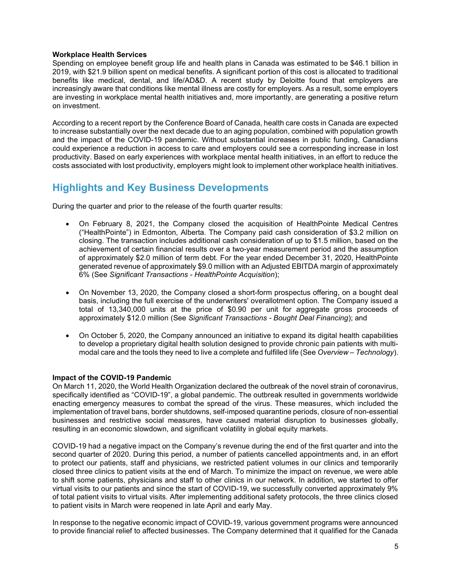# Workplace Health Services

Spending on employee benefit group life and health plans in Canada was estimated to be \$46.1 billion in 2019, with \$21.9 billion spent on medical benefits. A significant portion of this cost is allocated to traditional benefits like medical, dental, and life/AD&D. A recent study by Deloitte found that employers are increasingly aware that conditions like mental illness are costly for employers. As a result, some employers are investing in workplace mental health initiatives and, more importantly, are generating a positive return on investment.

According to a recent report by the Conference Board of Canada, health care costs in Canada are expected to increase substantially over the next decade due to an aging population, combined with population growth and the impact of the COVID-19 pandemic. Without substantial increases in public funding, Canadians could experience a reduction in access to care and employers could see a corresponding increase in lost productivity. Based on early experiences with workplace mental health initiatives, in an effort to reduce the costs associated with lost productivity, employers might look to implement other workplace health initiatives.

# Highlights and Key Business Developments

During the quarter and prior to the release of the fourth quarter results:

- On February 8, 2021, the Company closed the acquisition of HealthPointe Medical Centres ("HealthPointe") in Edmonton, Alberta. The Company paid cash consideration of \$3.2 million on closing. The transaction includes additional cash consideration of up to \$1.5 million, based on the achievement of certain financial results over a two-year measurement period and the assumption of approximately \$2.0 million of term debt. For the year ended December 31, 2020, HealthPointe generated revenue of approximately \$9.0 million with an Adjusted EBITDA margin of approximately 6% (See Significant Transactions - HealthPointe Acquisition);
- On November 13, 2020, the Company closed a short-form prospectus offering, on a bought deal basis, including the full exercise of the underwriters' overallotment option. The Company issued a total of 13,340,000 units at the price of \$0.90 per unit for aggregate gross proceeds of approximately \$12.0 million (See Significant Transactions - Bought Deal Financing); and
- On October 5, 2020, the Company announced an initiative to expand its digital health capabilities to develop a proprietary digital health solution designed to provide chronic pain patients with multimodal care and the tools they need to live a complete and fulfilled life (See Overview – Technology).

# Impact of the COVID-19 Pandemic

On March 11, 2020, the World Health Organization declared the outbreak of the novel strain of coronavirus, specifically identified as "COVID-19", a global pandemic. The outbreak resulted in governments worldwide enacting emergency measures to combat the spread of the virus. These measures, which included the implementation of travel bans, border shutdowns, self-imposed quarantine periods, closure of non-essential businesses and restrictive social measures, have caused material disruption to businesses globally, resulting in an economic slowdown, and significant volatility in global equity markets.

COVID-19 had a negative impact on the Company's revenue during the end of the first quarter and into the second quarter of 2020. During this period, a number of patients cancelled appointments and, in an effort to protect our patients, staff and physicians, we restricted patient volumes in our clinics and temporarily closed three clinics to patient visits at the end of March. To minimize the impact on revenue, we were able to shift some patients, physicians and staff to other clinics in our network. In addition, we started to offer virtual visits to our patients and since the start of COVID-19, we successfully converted approximately 9% of total patient visits to virtual visits. After implementing additional safety protocols, the three clinics closed to patient visits in March were reopened in late April and early May.

In response to the negative economic impact of COVID-19, various government programs were announced to provide financial relief to affected businesses. The Company determined that it qualified for the Canada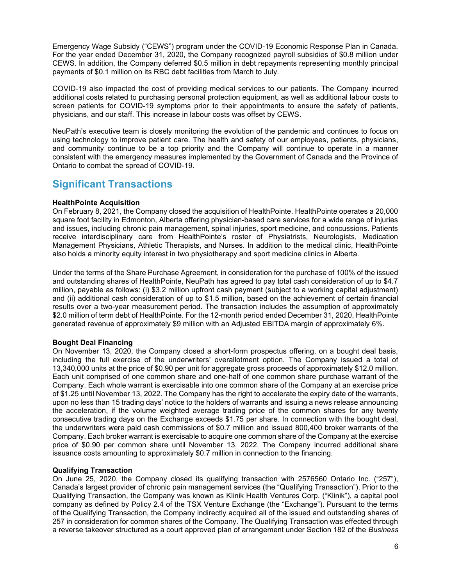Emergency Wage Subsidy ("CEWS") program under the COVID-19 Economic Response Plan in Canada. For the year ended December 31, 2020, the Company recognized payroll subsidies of \$0.8 million under CEWS. In addition, the Company deferred \$0.5 million in debt repayments representing monthly principal payments of \$0.1 million on its RBC debt facilities from March to July.

COVID-19 also impacted the cost of providing medical services to our patients. The Company incurred additional costs related to purchasing personal protection equipment, as well as additional labour costs to screen patients for COVID-19 symptoms prior to their appointments to ensure the safety of patients, physicians, and our staff. This increase in labour costs was offset by CEWS.

NeuPath's executive team is closely monitoring the evolution of the pandemic and continues to focus on using technology to improve patient care. The health and safety of our employees, patients, physicians, and community continue to be a top priority and the Company will continue to operate in a manner consistent with the emergency measures implemented by the Government of Canada and the Province of Ontario to combat the spread of COVID-19.

# Significant Transactions

# HealthPointe Acquisition

On February 8, 2021, the Company closed the acquisition of HealthPointe. HealthPointe operates a 20,000 square foot facility in Edmonton, Alberta offering physician-based care services for a wide range of injuries and issues, including chronic pain management, spinal injuries, sport medicine, and concussions. Patients receive interdisciplinary care from HealthPointe's roster of Physiatrists, Neurologists, Medication Management Physicians, Athletic Therapists, and Nurses. In addition to the medical clinic, HealthPointe also holds a minority equity interest in two physiotherapy and sport medicine clinics in Alberta.

Under the terms of the Share Purchase Agreement, in consideration for the purchase of 100% of the issued and outstanding shares of HealthPointe, NeuPath has agreed to pay total cash consideration of up to \$4.7 million, payable as follows: (i) \$3.2 million upfront cash payment (subject to a working capital adjustment) and (ii) additional cash consideration of up to \$1.5 million, based on the achievement of certain financial results over a two-year measurement period. The transaction includes the assumption of approximately \$2.0 million of term debt of HealthPointe. For the 12-month period ended December 31, 2020, HealthPointe generated revenue of approximately \$9 million with an Adjusted EBITDA margin of approximately 6%.

# Bought Deal Financing

On November 13, 2020, the Company closed a short-form prospectus offering, on a bought deal basis, including the full exercise of the underwriters' overallotment option. The Company issued a total of 13,340,000 units at the price of \$0.90 per unit for aggregate gross proceeds of approximately \$12.0 million. Each unit comprised of one common share and one-half of one common share purchase warrant of the Company. Each whole warrant is exercisable into one common share of the Company at an exercise price of \$1.25 until November 13, 2022. The Company has the right to accelerate the expiry date of the warrants, upon no less than 15 trading days' notice to the holders of warrants and issuing a news release announcing the acceleration, if the volume weighted average trading price of the common shares for any twenty consecutive trading days on the Exchange exceeds \$1.75 per share. In connection with the bought deal, the underwriters were paid cash commissions of \$0.7 million and issued 800,400 broker warrants of the Company. Each broker warrant is exercisable to acquire one common share of the Company at the exercise price of \$0.90 per common share until November 13, 2022. The Company incurred additional share issuance costs amounting to approximately \$0.7 million in connection to the financing.

# Qualifying Transaction

On June 25, 2020, the Company closed its qualifying transaction with 2576560 Ontario Inc. ("257"), Canada's largest provider of chronic pain management services (the "Qualifying Transaction"). Prior to the Qualifying Transaction, the Company was known as Klinik Health Ventures Corp. ("Klinik"), a capital pool company as defined by Policy 2.4 of the TSX Venture Exchange (the "Exchange"). Pursuant to the terms of the Qualifying Transaction, the Company indirectly acquired all of the issued and outstanding shares of 257 in consideration for common shares of the Company. The Qualifying Transaction was effected through a reverse takeover structured as a court approved plan of arrangement under Section 182 of the Business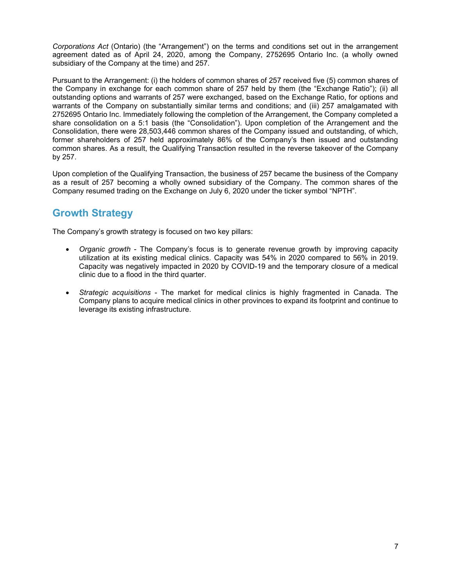Corporations Act (Ontario) (the "Arrangement") on the terms and conditions set out in the arrangement agreement dated as of April 24, 2020, among the Company, 2752695 Ontario Inc. (a wholly owned subsidiary of the Company at the time) and 257.

Pursuant to the Arrangement: (i) the holders of common shares of 257 received five (5) common shares of the Company in exchange for each common share of 257 held by them (the "Exchange Ratio"); (ii) all outstanding options and warrants of 257 were exchanged, based on the Exchange Ratio, for options and warrants of the Company on substantially similar terms and conditions; and (iii) 257 amalgamated with 2752695 Ontario Inc. Immediately following the completion of the Arrangement, the Company completed a share consolidation on a 5:1 basis (the "Consolidation"). Upon completion of the Arrangement and the Consolidation, there were 28,503,446 common shares of the Company issued and outstanding, of which, former shareholders of 257 held approximately 86% of the Company's then issued and outstanding common shares. As a result, the Qualifying Transaction resulted in the reverse takeover of the Company by 257.

Upon completion of the Qualifying Transaction, the business of 257 became the business of the Company as a result of 257 becoming a wholly owned subsidiary of the Company. The common shares of the Company resumed trading on the Exchange on July 6, 2020 under the ticker symbol "NPTH".

# Growth Strategy

The Company's growth strategy is focused on two key pillars:

- Organic growth The Company's focus is to generate revenue growth by improving capacity utilization at its existing medical clinics. Capacity was 54% in 2020 compared to 56% in 2019. Capacity was negatively impacted in 2020 by COVID-19 and the temporary closure of a medical clinic due to a flood in the third quarter.
- Strategic acquisitions The market for medical clinics is highly fragmented in Canada. The Company plans to acquire medical clinics in other provinces to expand its footprint and continue to leverage its existing infrastructure.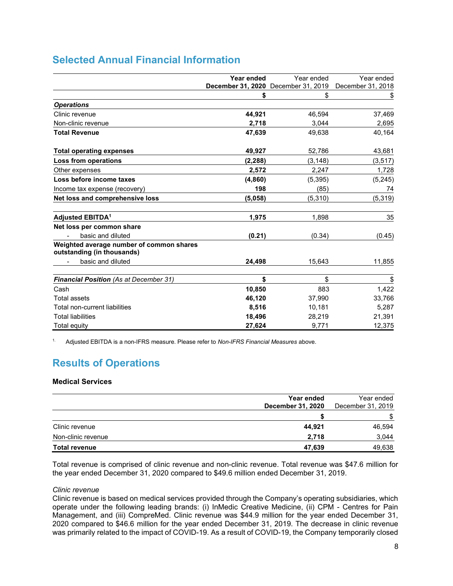|                                                                        | Year ended | Year ended                          | Year ended        |
|------------------------------------------------------------------------|------------|-------------------------------------|-------------------|
|                                                                        |            | December 31, 2020 December 31, 2019 | December 31, 2018 |
|                                                                        | \$         | \$                                  | \$                |
| <b>Operations</b>                                                      |            |                                     |                   |
| Clinic revenue                                                         | 44,921     | 46,594                              | 37,469            |
| Non-clinic revenue                                                     | 2,718      | 3,044                               | 2,695             |
| <b>Total Revenue</b>                                                   | 47,639     | 49.638                              | 40,164            |
| <b>Total operating expenses</b>                                        | 49,927     | 52,786                              | 43,681            |
| Loss from operations                                                   | (2, 288)   | (3, 148)                            | (3, 517)          |
| Other expenses                                                         | 2,572      | 2,247                               | 1,728             |
| Loss before income taxes                                               | (4,860)    | (5, 395)                            | (5, 245)          |
| Income tax expense (recovery)                                          | 198        | (85)                                | 74                |
| Net loss and comprehensive loss                                        | (5.058)    | (5,310)                             | (5, 319)          |
| <b>Adjusted EBITDA<sup>1</sup></b>                                     | 1,975      | 1,898                               | 35                |
| Net loss per common share                                              |            |                                     |                   |
| basic and diluted                                                      | (0.21)     | (0.34)                              | (0.45)            |
| Weighted average number of common shares<br>outstanding (in thousands) |            |                                     |                   |
| basic and diluted                                                      | 24,498     | 15,643                              | 11,855            |
| <b>Financial Position (As at December 31)</b>                          | \$         | \$                                  | \$                |
| Cash                                                                   | 10,850     | 883                                 | 1,422             |
| <b>Total assets</b>                                                    | 46,120     | 37,990                              | 33,766            |
| Total non-current liabilities                                          | 8,516      | 10,181                              | 5,287             |
| <b>Total liabilities</b>                                               | 18,496     | 28,219                              | 21,391            |
| Total equity                                                           | 27.624     | 9.771                               | 12,375            |

<sup>1.</sup> Adjusted EBITDA is a non-IFRS measure. Please refer to Non-IFRS Financial Measures above.

# Results of Operations

# Medical Services

|                      | Year ended<br><b>December 31, 2020</b> | Year ended<br>December 31, 2019 |
|----------------------|----------------------------------------|---------------------------------|
|                      |                                        | \$                              |
| Clinic revenue       | 44,921                                 | 46,594                          |
| Non-clinic revenue   | 2,718                                  | 3,044                           |
| <b>Total revenue</b> | 47,639                                 | 49,638                          |

Total revenue is comprised of clinic revenue and non-clinic revenue. Total revenue was \$47.6 million for the year ended December 31, 2020 compared to \$49.6 million ended December 31, 2019.

# Clinic revenue

Clinic revenue is based on medical services provided through the Company's operating subsidiaries, which operate under the following leading brands: (i) InMedic Creative Medicine, (ii) CPM - Centres for Pain Management, and (iii) CompreMed. Clinic revenue was \$44.9 million for the year ended December 31, 2020 compared to \$46.6 million for the year ended December 31, 2019. The decrease in clinic revenue was primarily related to the impact of COVID-19. As a result of COVID-19, the Company temporarily closed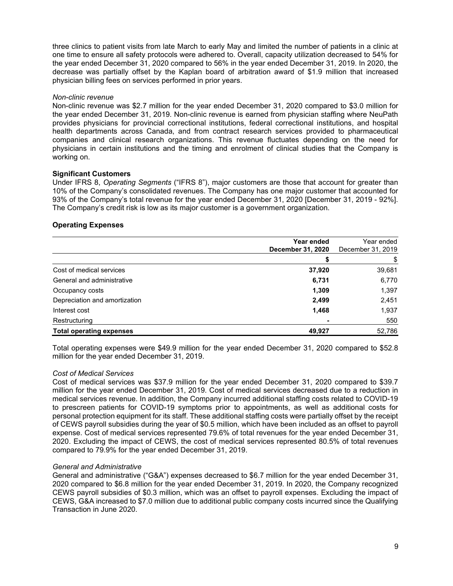three clinics to patient visits from late March to early May and limited the number of patients in a clinic at one time to ensure all safety protocols were adhered to. Overall, capacity utilization decreased to 54% for the year ended December 31, 2020 compared to 56% in the year ended December 31, 2019. In 2020, the decrease was partially offset by the Kaplan board of arbitration award of \$1.9 million that increased physician billing fees on services performed in prior years.

#### Non-clinic revenue

Non-clinic revenue was \$2.7 million for the year ended December 31, 2020 compared to \$3.0 million for the year ended December 31, 2019. Non-clinic revenue is earned from physician staffing where NeuPath provides physicians for provincial correctional institutions, federal correctional institutions, and hospital health departments across Canada, and from contract research services provided to pharmaceutical companies and clinical research organizations. This revenue fluctuates depending on the need for physicians in certain institutions and the timing and enrolment of clinical studies that the Company is working on.

#### Significant Customers

Under IFRS 8, Operating Segments ("IFRS 8"), major customers are those that account for greater than 10% of the Company's consolidated revenues. The Company has one major customer that accounted for 93% of the Company's total revenue for the year ended December 31, 2020 [December 31, 2019 - 92%]. The Company's credit risk is low as its major customer is a government organization.

# Operating Expenses

|                                 | Year ended<br><b>December 31, 2020</b> | Year ended<br>December 31, 2019 |
|---------------------------------|----------------------------------------|---------------------------------|
|                                 |                                        |                                 |
| Cost of medical services        | 37,920                                 | 39,681                          |
| General and administrative      | 6,731                                  | 6,770                           |
| Occupancy costs                 | 1,309                                  | 1,397                           |
| Depreciation and amortization   | 2,499                                  | 2,451                           |
| Interest cost                   | 1,468                                  | 1,937                           |
| Restructuring                   |                                        | 550                             |
| <b>Total operating expenses</b> | 49,927                                 | 52,786                          |

Total operating expenses were \$49.9 million for the year ended December 31, 2020 compared to \$52.8 million for the year ended December 31, 2019.

#### Cost of Medical Services

Cost of medical services was \$37.9 million for the year ended December 31, 2020 compared to \$39.7 million for the year ended December 31, 2019. Cost of medical services decreased due to a reduction in medical services revenue. In addition, the Company incurred additional staffing costs related to COVID-19 to prescreen patients for COVID-19 symptoms prior to appointments, as well as additional costs for personal protection equipment for its staff. These additional staffing costs were partially offset by the receipt of CEWS payroll subsidies during the year of \$0.5 million, which have been included as an offset to payroll expense. Cost of medical services represented 79.6% of total revenues for the year ended December 31, 2020. Excluding the impact of CEWS, the cost of medical services represented 80.5% of total revenues compared to 79.9% for the year ended December 31, 2019.

#### General and Administrative

General and administrative ("G&A") expenses decreased to \$6.7 million for the year ended December 31, 2020 compared to \$6.8 million for the year ended December 31, 2019. In 2020, the Company recognized CEWS payroll subsidies of \$0.3 million, which was an offset to payroll expenses. Excluding the impact of CEWS, G&A increased to \$7.0 million due to additional public company costs incurred since the Qualifying Transaction in June 2020.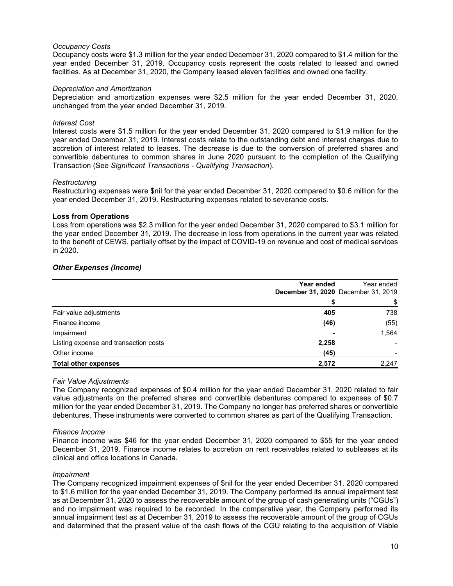## Occupancy Costs

Occupancy costs were \$1.3 million for the year ended December 31, 2020 compared to \$1.4 million for the year ended December 31, 2019. Occupancy costs represent the costs related to leased and owned facilities. As at December 31, 2020, the Company leased eleven facilities and owned one facility.

#### Depreciation and Amortization

Depreciation and amortization expenses were \$2.5 million for the year ended December 31, 2020, unchanged from the year ended December 31, 2019.

#### Interest Cost

Interest costs were \$1.5 million for the year ended December 31, 2020 compared to \$1.9 million for the year ended December 31, 2019. Interest costs relate to the outstanding debt and interest charges due to accretion of interest related to leases. The decrease is due to the conversion of preferred shares and convertible debentures to common shares in June 2020 pursuant to the completion of the Qualifying Transaction (See Significant Transactions - Qualifying Transaction).

### Restructuring

Restructuring expenses were \$nil for the year ended December 31, 2020 compared to \$0.6 million for the year ended December 31, 2019. Restructuring expenses related to severance costs.

#### Loss from Operations

Loss from operations was \$2.3 million for the year ended December 31, 2020 compared to \$3.1 million for the year ended December 31, 2019. The decrease in loss from operations in the current year was related to the benefit of CEWS, partially offset by the impact of COVID-19 on revenue and cost of medical services in 2020.

#### Other Expenses (Income)

|                                       | Year ended<br>December 31, 2020 December 31, 2019 | Year ended |
|---------------------------------------|---------------------------------------------------|------------|
|                                       |                                                   | \$         |
| Fair value adjustments                | 405                                               | 738        |
| Finance income                        | (46)                                              | (55)       |
| Impairment                            | $\overline{\phantom{0}}$                          | 1,564      |
| Listing expense and transaction costs | 2,258                                             |            |
| Other income                          | (45)                                              |            |
| <b>Total other expenses</b>           | 2,572                                             | 2,247      |

# Fair Value Adjustments

The Company recognized expenses of \$0.4 million for the year ended December 31, 2020 related to fair value adjustments on the preferred shares and convertible debentures compared to expenses of \$0.7 million for the year ended December 31, 2019. The Company no longer has preferred shares or convertible debentures. These instruments were converted to common shares as part of the Qualifying Transaction.

#### Finance Income

Finance income was \$46 for the year ended December 31, 2020 compared to \$55 for the year ended December 31, 2019. Finance income relates to accretion on rent receivables related to subleases at its clinical and office locations in Canada.

# Impairment

The Company recognized impairment expenses of \$nil for the year ended December 31, 2020 compared to \$1.6 million for the year ended December 31, 2019. The Company performed its annual impairment test as at December 31, 2020 to assess the recoverable amount of the group of cash generating units ("CGUs") and no impairment was required to be recorded. In the comparative year, the Company performed its annual impairment test as at December 31, 2019 to assess the recoverable amount of the group of CGUs and determined that the present value of the cash flows of the CGU relating to the acquisition of Viable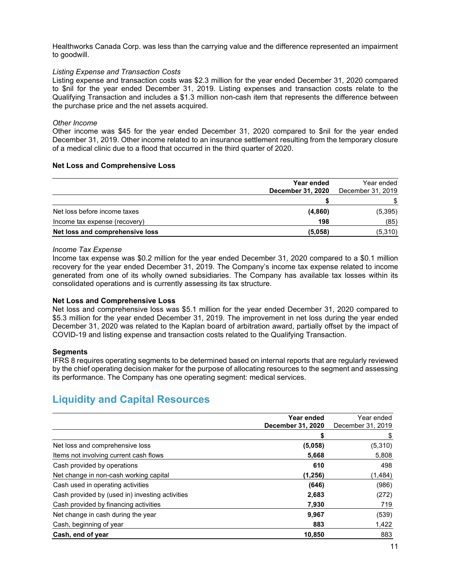Healthworks Canada Corp. was less than the carrying value and the difference represented an impairment to goodwill.

# Listing Expense and Transaction Costs

Listing expense and transaction costs was \$2.3 million for the year ended December 31, 2020 compared to \$nil for the year ended December 31, 2019. Listing expenses and transaction costs relate to the Qualifying Transaction and includes a \$1.3 million non-cash item that represents the difference between the purchase price and the net assets acquired.

# Other Income

Other income was \$45 for the year ended December 31, 2020 compared to \$nil for the year ended December 31, 2019. Other income related to an insurance settlement resulting from the temporary closure of a medical clinic due to a flood that occurred in the third quarter of 2020.

# Net Loss and Comprehensive Loss

|                                 | Year ended<br><b>December 31, 2020</b> | Year ended<br>December 31, 2019 |
|---------------------------------|----------------------------------------|---------------------------------|
|                                 |                                        |                                 |
| Net loss before income taxes    | (4,860)                                | (5, 395)                        |
| Income tax expense (recovery)   | 198                                    | (85)                            |
| Net loss and comprehensive loss | (5,058)                                | (5,310)                         |

# Income Tax Expense

Income tax expense was \$0.2 million for the year ended December 31, 2020 compared to a \$0.1 million recovery for the year ended December 31, 2019. The Company's income tax expense related to income generated from one of its wholly owned subsidiaries. The Company has available tax losses within its consolidated operations and is currently assessing its tax structure.

# Net Loss and Comprehensive Loss

Net loss and comprehensive loss was \$5.1 million for the year ended December 31, 2020 compared to \$5.3 million for the year ended December 31, 2019. The improvement in net loss during the year ended December 31, 2020 was related to the Kaplan board of arbitration award, partially offset by the impact of COVID-19 and listing expense and transaction costs related to the Qualifying Transaction.

# **Segments**

IFRS 8 requires operating segments to be determined based on internal reports that are regularly reviewed by the chief operating decision maker for the purpose of allocating resources to the segment and assessing its performance. The Company has one operating segment: medical services.

# Liquidity and Capital Resources

|                                                 | Year ended<br>December 31, 2020 | Year ended<br>December 31, 2019 |
|-------------------------------------------------|---------------------------------|---------------------------------|
|                                                 |                                 | \$                              |
| Net loss and comprehensive loss                 | (5,058)                         | (5,310)                         |
| Items not involving current cash flows          | 5,668                           | 5,808                           |
| Cash provided by operations                     | 610                             | 498                             |
| Net change in non-cash working capital          | (1,256)                         | (1, 484)                        |
| Cash used in operating activities               | (646)                           | (986)                           |
| Cash provided by (used in) investing activities | 2,683                           | (272)                           |
| Cash provided by financing activities           | 7,930                           | 719                             |
| Net change in cash during the year              | 9,967                           | (539)                           |
| Cash, beginning of year                         | 883                             | 1,422                           |
| Cash, end of year                               | 10,850                          | 883                             |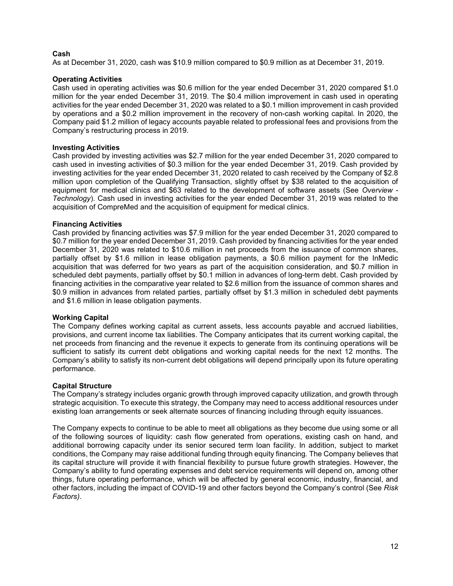# Cash

As at December 31, 2020, cash was \$10.9 million compared to \$0.9 million as at December 31, 2019.

# Operating Activities

Cash used in operating activities was \$0.6 million for the year ended December 31, 2020 compared \$1.0 million for the year ended December 31, 2019. The \$0.4 million improvement in cash used in operating activities for the year ended December 31, 2020 was related to a \$0.1 million improvement in cash provided by operations and a \$0.2 million improvement in the recovery of non-cash working capital. In 2020, the Company paid \$1.2 million of legacy accounts payable related to professional fees and provisions from the Company's restructuring process in 2019.

# Investing Activities

Cash provided by investing activities was \$2.7 million for the year ended December 31, 2020 compared to cash used in investing activities of \$0.3 million for the year ended December 31, 2019. Cash provided by investing activities for the year ended December 31, 2020 related to cash received by the Company of \$2.8 million upon completion of the Qualifying Transaction, slightly offset by \$38 related to the acquisition of equipment for medical clinics and \$63 related to the development of software assets (See Overview - Technology). Cash used in investing activities for the year ended December 31, 2019 was related to the acquisition of CompreMed and the acquisition of equipment for medical clinics.

# Financing Activities

Cash provided by financing activities was \$7.9 million for the year ended December 31, 2020 compared to \$0.7 million for the year ended December 31, 2019. Cash provided by financing activities for the year ended December 31, 2020 was related to \$10.6 million in net proceeds from the issuance of common shares, partially offset by \$1.6 million in lease obligation payments, a \$0.6 million payment for the InMedic acquisition that was deferred for two years as part of the acquisition consideration, and \$0.7 million in scheduled debt payments, partially offset by \$0.1 million in advances of long-term debt. Cash provided by financing activities in the comparative year related to \$2.6 million from the issuance of common shares and \$0.9 million in advances from related parties, partially offset by \$1.3 million in scheduled debt payments and \$1.6 million in lease obligation payments.

# Working Capital

The Company defines working capital as current assets, less accounts payable and accrued liabilities, provisions, and current income tax liabilities. The Company anticipates that its current working capital, the net proceeds from financing and the revenue it expects to generate from its continuing operations will be sufficient to satisfy its current debt obligations and working capital needs for the next 12 months. The Company's ability to satisfy its non-current debt obligations will depend principally upon its future operating performance.

# Capital Structure

The Company's strategy includes organic growth through improved capacity utilization, and growth through strategic acquisition. To execute this strategy, the Company may need to access additional resources under existing loan arrangements or seek alternate sources of financing including through equity issuances.

The Company expects to continue to be able to meet all obligations as they become due using some or all of the following sources of liquidity: cash flow generated from operations, existing cash on hand, and additional borrowing capacity under its senior secured term loan facility. In addition, subject to market conditions, the Company may raise additional funding through equity financing. The Company believes that its capital structure will provide it with financial flexibility to pursue future growth strategies. However, the Company's ability to fund operating expenses and debt service requirements will depend on, among other things, future operating performance, which will be affected by general economic, industry, financial, and other factors, including the impact of COVID-19 and other factors beyond the Company's control (See Risk Factors).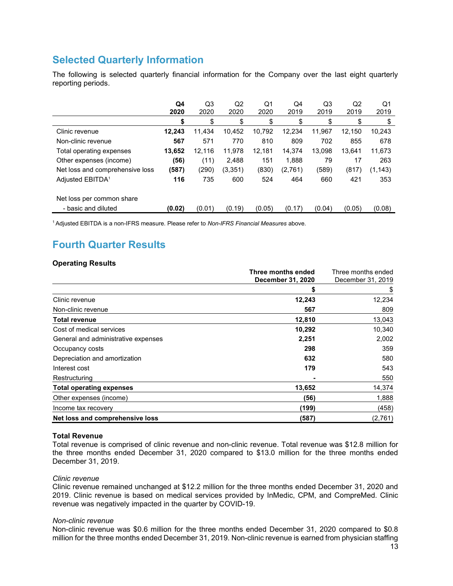# Selected Quarterly Information

The following is selected quarterly financial information for the Company over the last eight quarterly reporting periods.

|                                 | Q4<br>2020 | Q3<br>2020 | Q <sub>2</sub><br>2020 | Q1<br>2020 | Q4<br>2019 | Q3<br>2019 | Q2<br>2019 | Q1<br>2019 |
|---------------------------------|------------|------------|------------------------|------------|------------|------------|------------|------------|
|                                 | \$         | \$         | \$                     | \$         | \$         | \$         | \$         | \$         |
| Clinic revenue                  | 12,243     | 11.434     | 10.452                 | 10.792     | 12,234     | 11,967     | 12.150     | 10,243     |
| Non-clinic revenue              | 567        | 571        | 770                    | 810        | 809        | 702        | 855        | 678        |
| Total operating expenses        | 13,652     | 12,116     | 11,978                 | 12,181     | 14,374     | 13.098     | 13.641     | 11,673     |
| Other expenses (income)         | (56)       | (11)       | 2,488                  | 151        | 1,888      | 79         | 17         | 263        |
| Net loss and comprehensive loss | (587)      | (290)      | (3, 351)               | (830)      | (2,761)    | (589)      | (817)      | (1, 143)   |
| Adjusted EBITDA <sup>1</sup>    | 116        | 735        | 600                    | 524        | 464        | 660        | 421        | 353        |
| Net loss per common share       |            |            |                        |            |            |            |            |            |
| - basic and diluted             | (0.02)     | (0.01)     | (0.19)                 | (0.05)     | (0.17)     | (0.04)     | (0.05)     | (0.08)     |

<sup>1</sup> Adjusted EBITDA is a non-IFRS measure. Please refer to Non-IFRS Financial Measures above.

# Fourth Quarter Results

# Operating Results

|                                     | Three months ended       | Three months ended |
|-------------------------------------|--------------------------|--------------------|
|                                     | <b>December 31, 2020</b> | December 31, 2019  |
|                                     | S                        | \$                 |
| Clinic revenue                      | 12,243                   | 12,234             |
| Non-clinic revenue                  | 567                      | 809                |
| <b>Total revenue</b>                | 12,810                   | 13,043             |
| Cost of medical services            | 10,292                   | 10,340             |
| General and administrative expenses | 2,251                    | 2,002              |
| Occupancy costs                     | 298                      | 359                |
| Depreciation and amortization       | 632                      | 580                |
| Interest cost                       | 179                      | 543                |
| Restructuring                       |                          | 550                |
| <b>Total operating expenses</b>     | 13,652                   | 14,374             |
| Other expenses (income)             | (56)                     | 1,888              |
| Income tax recovery                 | (199)                    | (458)              |
| Net loss and comprehensive loss     | (587)                    | (2,761)            |

# Total Revenue

Total revenue is comprised of clinic revenue and non-clinic revenue. Total revenue was \$12.8 million for the three months ended December 31, 2020 compared to \$13.0 million for the three months ended December 31, 2019.

# Clinic revenue

Clinic revenue remained unchanged at \$12.2 million for the three months ended December 31, 2020 and 2019. Clinic revenue is based on medical services provided by InMedic, CPM, and CompreMed. Clinic revenue was negatively impacted in the quarter by COVID-19.

# Non-clinic revenue

Non-clinic revenue was \$0.6 million for the three months ended December 31, 2020 compared to \$0.8 million for the three months ended December 31, 2019. Non-clinic revenue is earned from physician staffing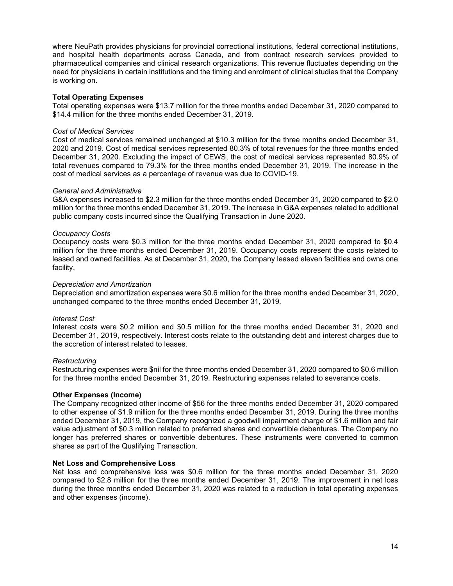where NeuPath provides physicians for provincial correctional institutions, federal correctional institutions, and hospital health departments across Canada, and from contract research services provided to pharmaceutical companies and clinical research organizations. This revenue fluctuates depending on the need for physicians in certain institutions and the timing and enrolment of clinical studies that the Company is working on.

#### Total Operating Expenses

Total operating expenses were \$13.7 million for the three months ended December 31, 2020 compared to \$14.4 million for the three months ended December 31, 2019.

#### Cost of Medical Services

Cost of medical services remained unchanged at \$10.3 million for the three months ended December 31, 2020 and 2019. Cost of medical services represented 80.3% of total revenues for the three months ended December 31, 2020. Excluding the impact of CEWS, the cost of medical services represented 80.9% of total revenues compared to 79.3% for the three months ended December 31, 2019. The increase in the cost of medical services as a percentage of revenue was due to COVID-19.

#### General and Administrative

G&A expenses increased to \$2.3 million for the three months ended December 31, 2020 compared to \$2.0 million for the three months ended December 31, 2019. The increase in G&A expenses related to additional public company costs incurred since the Qualifying Transaction in June 2020.

# Occupancy Costs

Occupancy costs were \$0.3 million for the three months ended December 31, 2020 compared to \$0.4 million for the three months ended December 31, 2019. Occupancy costs represent the costs related to leased and owned facilities. As at December 31, 2020, the Company leased eleven facilities and owns one facility.

#### Depreciation and Amortization

Depreciation and amortization expenses were \$0.6 million for the three months ended December 31, 2020, unchanged compared to the three months ended December 31, 2019.

#### Interest Cost

Interest costs were \$0.2 million and \$0.5 million for the three months ended December 31, 2020 and December 31, 2019, respectively. Interest costs relate to the outstanding debt and interest charges due to the accretion of interest related to leases.

# **Restructuring**

Restructuring expenses were \$nil for the three months ended December 31, 2020 compared to \$0.6 million for the three months ended December 31, 2019. Restructuring expenses related to severance costs.

# Other Expenses (Income)

The Company recognized other income of \$56 for the three months ended December 31, 2020 compared to other expense of \$1.9 million for the three months ended December 31, 2019. During the three months ended December 31, 2019, the Company recognized a goodwill impairment charge of \$1.6 million and fair value adjustment of \$0.3 million related to preferred shares and convertible debentures. The Company no longer has preferred shares or convertible debentures. These instruments were converted to common shares as part of the Qualifying Transaction.

#### Net Loss and Comprehensive Loss

Net loss and comprehensive loss was \$0.6 million for the three months ended December 31, 2020 compared to \$2.8 million for the three months ended December 31, 2019. The improvement in net loss during the three months ended December 31, 2020 was related to a reduction in total operating expenses and other expenses (income).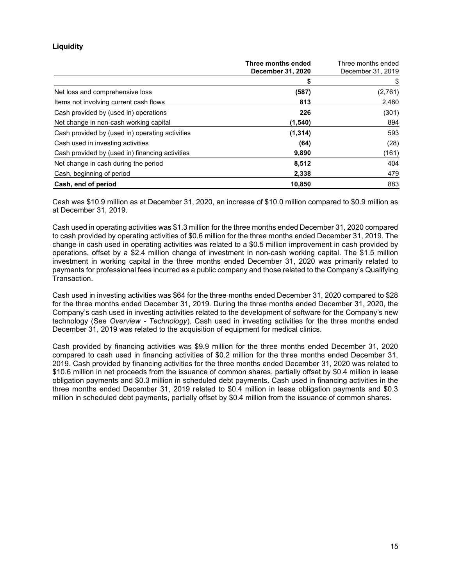# **Liquidity**

|                                                 | Three months ended<br><b>December 31, 2020</b> | Three months ended<br>December 31, 2019 |
|-------------------------------------------------|------------------------------------------------|-----------------------------------------|
|                                                 | S                                              | \$                                      |
| Net loss and comprehensive loss                 | (587)                                          | (2,761)                                 |
| Items not involving current cash flows          | 813                                            | 2,460                                   |
| Cash provided by (used in) operations           | 226                                            | (301)                                   |
| Net change in non-cash working capital          | (1, 540)                                       | 894                                     |
| Cash provided by (used in) operating activities | (1, 314)                                       | 593                                     |
| Cash used in investing activities               | (64)                                           | (28)                                    |
| Cash provided by (used in) financing activities | 9,890                                          | (161)                                   |
| Net change in cash during the period            | 8,512                                          | 404                                     |
| Cash, beginning of period                       | 2,338                                          | 479                                     |
| Cash, end of period                             | 10,850                                         | 883                                     |

Cash was \$10.9 million as at December 31, 2020, an increase of \$10.0 million compared to \$0.9 million as at December 31, 2019.

Cash used in operating activities was \$1.3 million for the three months ended December 31, 2020 compared to cash provided by operating activities of \$0.6 million for the three months ended December 31, 2019. The change in cash used in operating activities was related to a \$0.5 million improvement in cash provided by operations, offset by a \$2.4 million change of investment in non-cash working capital. The \$1.5 million investment in working capital in the three months ended December 31, 2020 was primarily related to payments for professional fees incurred as a public company and those related to the Company's Qualifying Transaction.

Cash used in investing activities was \$64 for the three months ended December 31, 2020 compared to \$28 for the three months ended December 31, 2019. During the three months ended December 31, 2020, the Company's cash used in investing activities related to the development of software for the Company's new technology (See Overview - Technology). Cash used in investing activities for the three months ended December 31, 2019 was related to the acquisition of equipment for medical clinics.

Cash provided by financing activities was \$9.9 million for the three months ended December 31, 2020 compared to cash used in financing activities of \$0.2 million for the three months ended December 31, 2019. Cash provided by financing activities for the three months ended December 31, 2020 was related to \$10.6 million in net proceeds from the issuance of common shares, partially offset by \$0.4 million in lease obligation payments and \$0.3 million in scheduled debt payments. Cash used in financing activities in the three months ended December 31, 2019 related to \$0.4 million in lease obligation payments and \$0.3 million in scheduled debt payments, partially offset by \$0.4 million from the issuance of common shares.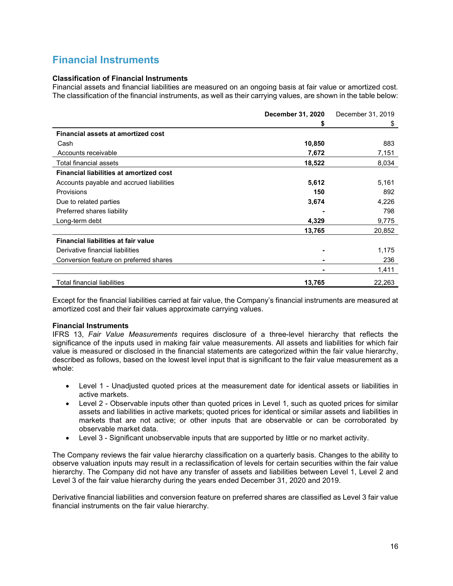# Financial Instruments

# Classification of Financial Instruments

Financial assets and financial liabilities are measured on an ongoing basis at fair value or amortized cost. The classification of the financial instruments, as well as their carrying values, are shown in the table below:

|                                                | December 31, 2020 | December 31, 2019 |
|------------------------------------------------|-------------------|-------------------|
|                                                | \$                | \$                |
| <b>Financial assets at amortized cost</b>      |                   |                   |
| Cash                                           | 10,850            | 883               |
| Accounts receivable                            | 7,672             | 7,151             |
| Total financial assets                         | 18,522            | 8,034             |
| <b>Financial liabilities at amortized cost</b> |                   |                   |
| Accounts payable and accrued liabilities       | 5,612             | 5,161             |
| Provisions                                     | 150               | 892               |
| Due to related parties                         | 3,674             | 4,226             |
| Preferred shares liability                     |                   | 798               |
| Long-term debt                                 | 4,329             | 9,775             |
|                                                | 13,765            | 20,852            |
| <b>Financial liabilities at fair value</b>     |                   |                   |
| Derivative financial liabilities               |                   | 1,175             |
| Conversion feature on preferred shares         | -                 | 236               |
|                                                |                   | 1,411             |
| <b>Total financial liabilities</b>             | 13,765            | 22,263            |

Except for the financial liabilities carried at fair value, the Company's financial instruments are measured at amortized cost and their fair values approximate carrying values.

# Financial Instruments

IFRS 13, Fair Value Measurements requires disclosure of a three-level hierarchy that reflects the significance of the inputs used in making fair value measurements. All assets and liabilities for which fair value is measured or disclosed in the financial statements are categorized within the fair value hierarchy, described as follows, based on the lowest level input that is significant to the fair value measurement as a whole:

- Level 1 Unadjusted quoted prices at the measurement date for identical assets or liabilities in active markets.
- Level 2 Observable inputs other than quoted prices in Level 1, such as quoted prices for similar assets and liabilities in active markets; quoted prices for identical or similar assets and liabilities in markets that are not active; or other inputs that are observable or can be corroborated by observable market data.
- Level 3 Significant unobservable inputs that are supported by little or no market activity.

The Company reviews the fair value hierarchy classification on a quarterly basis. Changes to the ability to observe valuation inputs may result in a reclassification of levels for certain securities within the fair value hierarchy. The Company did not have any transfer of assets and liabilities between Level 1, Level 2 and Level 3 of the fair value hierarchy during the years ended December 31, 2020 and 2019.

Derivative financial liabilities and conversion feature on preferred shares are classified as Level 3 fair value financial instruments on the fair value hierarchy.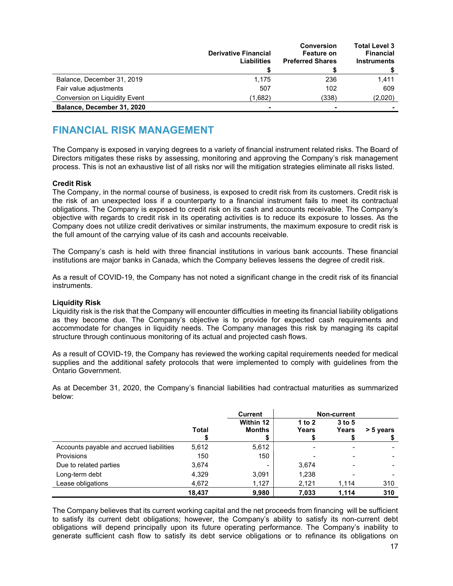|                               | <b>Derivative Financial</b><br>Liabilities | <b>Conversion</b><br>Feature on<br><b>Preferred Shares</b> | <b>Total Level 3</b><br><b>Financial</b><br><b>Instruments</b> |
|-------------------------------|--------------------------------------------|------------------------------------------------------------|----------------------------------------------------------------|
| Balance, December 31, 2019    | 1,175                                      | 236                                                        | 1.411                                                          |
| Fair value adjustments        | 507                                        | 102                                                        | 609                                                            |
| Conversion on Liquidity Event | (1,682)                                    | (338)                                                      | (2,020)                                                        |
| Balance, December 31, 2020    |                                            |                                                            |                                                                |

# FINANCIAL RISK MANAGEMENT

The Company is exposed in varying degrees to a variety of financial instrument related risks. The Board of Directors mitigates these risks by assessing, monitoring and approving the Company's risk management process. This is not an exhaustive list of all risks nor will the mitigation strategies eliminate all risks listed.

# Credit Risk

The Company, in the normal course of business, is exposed to credit risk from its customers. Credit risk is the risk of an unexpected loss if a counterparty to a financial instrument fails to meet its contractual obligations. The Company is exposed to credit risk on its cash and accounts receivable. The Company's objective with regards to credit risk in its operating activities is to reduce its exposure to losses. As the Company does not utilize credit derivatives or similar instruments, the maximum exposure to credit risk is the full amount of the carrying value of its cash and accounts receivable.

The Company's cash is held with three financial institutions in various bank accounts. These financial institutions are major banks in Canada, which the Company believes lessens the degree of credit risk.

As a result of COVID-19, the Company has not noted a significant change in the credit risk of its financial instruments.

# Liquidity Risk

Liquidity risk is the risk that the Company will encounter difficulties in meeting its financial liability obligations as they become due. The Company's objective is to provide for expected cash requirements and accommodate for changes in liquidity needs. The Company manages this risk by managing its capital structure through continuous monitoring of its actual and projected cash flows.

As a result of COVID-19, the Company has reviewed the working capital requirements needed for medical supplies and the additional safety protocols that were implemented to comply with guidelines from the Ontario Government.

As at December 31, 2020, the Company's financial liabilities had contractual maturities as summarized below:

|                                          |        | <b>Current</b>                  | <b>Non-current</b> |                   |           |
|------------------------------------------|--------|---------------------------------|--------------------|-------------------|-----------|
|                                          | Total  | Within 12<br><b>Months</b><br>ъ | 1 to $2$<br>Years  | $3$ to 5<br>Years | > 5 years |
| Accounts payable and accrued liabilities | 5,612  | 5,612                           | -                  |                   |           |
| <b>Provisions</b>                        | 150    | 150                             |                    |                   |           |
| Due to related parties                   | 3,674  | ٠                               | 3,674              |                   |           |
| Long-term debt                           | 4,329  | 3,091                           | 1,238              |                   |           |
| Lease obligations                        | 4,672  | 1,127                           | 2,121              | 1,114             | 310       |
|                                          | 18.437 | 9,980                           | 7,033              | 1.114             | 310       |

The Company believes that its current working capital and the net proceeds from financing will be sufficient to satisfy its current debt obligations; however, the Company's ability to satisfy its non-current debt obligations will depend principally upon its future operating performance. The Company's inability to generate sufficient cash flow to satisfy its debt service obligations or to refinance its obligations on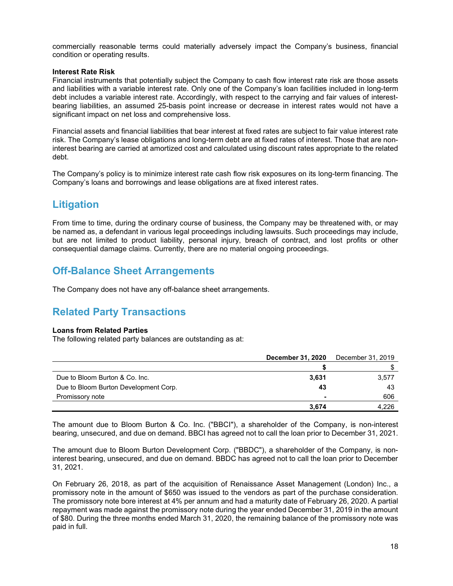commercially reasonable terms could materially adversely impact the Company's business, financial condition or operating results.

#### Interest Rate Risk

Financial instruments that potentially subject the Company to cash flow interest rate risk are those assets and liabilities with a variable interest rate. Only one of the Company's loan facilities included in long-term debt includes a variable interest rate. Accordingly, with respect to the carrying and fair values of interestbearing liabilities, an assumed 25-basis point increase or decrease in interest rates would not have a significant impact on net loss and comprehensive loss.

Financial assets and financial liabilities that bear interest at fixed rates are subject to fair value interest rate risk. The Company's lease obligations and long-term debt are at fixed rates of interest. Those that are noninterest bearing are carried at amortized cost and calculated using discount rates appropriate to the related debt.

The Company's policy is to minimize interest rate cash flow risk exposures on its long-term financing. The Company's loans and borrowings and lease obligations are at fixed interest rates.

# **Litigation**

From time to time, during the ordinary course of business, the Company may be threatened with, or may be named as, a defendant in various legal proceedings including lawsuits. Such proceedings may include, but are not limited to product liability, personal injury, breach of contract, and lost profits or other consequential damage claims. Currently, there are no material ongoing proceedings.

# Off-Balance Sheet Arrangements

The Company does not have any off-balance sheet arrangements.

# Related Party Transactions

# Loans from Related Parties

The following related party balances are outstanding as at:

|                                       | <b>December 31, 2020</b> | December 31, 2019 |  |
|---------------------------------------|--------------------------|-------------------|--|
|                                       |                          |                   |  |
| Due to Bloom Burton & Co. Inc.        | 3,631                    | 3,577             |  |
| Due to Bloom Burton Development Corp. | 43                       | 43                |  |
| Promissory note                       |                          | 606               |  |
|                                       | 3.674                    | 4.226             |  |

The amount due to Bloom Burton & Co. Inc. ("BBCI"), a shareholder of the Company, is non-interest bearing, unsecured, and due on demand. BBCI has agreed not to call the loan prior to December 31, 2021.

The amount due to Bloom Burton Development Corp. ("BBDC"), a shareholder of the Company, is noninterest bearing, unsecured, and due on demand. BBDC has agreed not to call the loan prior to December 31, 2021.

On February 26, 2018, as part of the acquisition of Renaissance Asset Management (London) Inc., a promissory note in the amount of \$650 was issued to the vendors as part of the purchase consideration. The promissory note bore interest at 4% per annum and had a maturity date of February 26, 2020. A partial repayment was made against the promissory note during the year ended December 31, 2019 in the amount of \$80. During the three months ended March 31, 2020, the remaining balance of the promissory note was paid in full.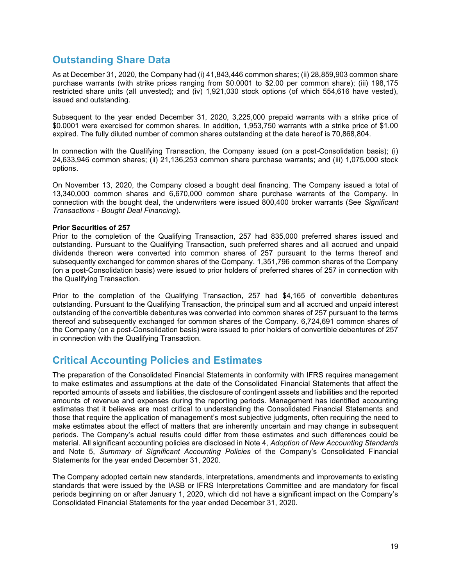# Outstanding Share Data

As at December 31, 2020, the Company had (i) 41,843,446 common shares; (ii) 28,859,903 common share purchase warrants (with strike prices ranging from \$0.0001 to \$2.00 per common share); (iii) 198,175 restricted share units (all unvested); and (iv) 1,921,030 stock options (of which 554,616 have vested), issued and outstanding.

Subsequent to the year ended December 31, 2020, 3,225,000 prepaid warrants with a strike price of \$0.0001 were exercised for common shares. In addition, 1,953,750 warrants with a strike price of \$1.00 expired. The fully diluted number of common shares outstanding at the date hereof is 70,868,804.

In connection with the Qualifying Transaction, the Company issued (on a post-Consolidation basis); (i) 24,633,946 common shares; (ii) 21,136,253 common share purchase warrants; and (iii) 1,075,000 stock options.

On November 13, 2020, the Company closed a bought deal financing. The Company issued a total of 13,340,000 common shares and 6,670,000 common share purchase warrants of the Company. In connection with the bought deal, the underwriters were issued 800,400 broker warrants (See Significant Transactions - Bought Deal Financing).

# Prior Securities of 257

Prior to the completion of the Qualifying Transaction, 257 had 835,000 preferred shares issued and outstanding. Pursuant to the Qualifying Transaction, such preferred shares and all accrued and unpaid dividends thereon were converted into common shares of 257 pursuant to the terms thereof and subsequently exchanged for common shares of the Company. 1,351,796 common shares of the Company (on a post-Consolidation basis) were issued to prior holders of preferred shares of 257 in connection with the Qualifying Transaction.

Prior to the completion of the Qualifying Transaction, 257 had \$4,165 of convertible debentures outstanding. Pursuant to the Qualifying Transaction, the principal sum and all accrued and unpaid interest outstanding of the convertible debentures was converted into common shares of 257 pursuant to the terms thereof and subsequently exchanged for common shares of the Company. 6,724,691 common shares of the Company (on a post-Consolidation basis) were issued to prior holders of convertible debentures of 257 in connection with the Qualifying Transaction.

# Critical Accounting Policies and Estimates

The preparation of the Consolidated Financial Statements in conformity with IFRS requires management to make estimates and assumptions at the date of the Consolidated Financial Statements that affect the reported amounts of assets and liabilities, the disclosure of contingent assets and liabilities and the reported amounts of revenue and expenses during the reporting periods. Management has identified accounting estimates that it believes are most critical to understanding the Consolidated Financial Statements and those that require the application of management's most subjective judgments, often requiring the need to make estimates about the effect of matters that are inherently uncertain and may change in subsequent periods. The Company's actual results could differ from these estimates and such differences could be material. All significant accounting policies are disclosed in Note 4, Adoption of New Accounting Standards and Note 5, Summary of Significant Accounting Policies of the Company's Consolidated Financial Statements for the year ended December 31, 2020.

The Company adopted certain new standards, interpretations, amendments and improvements to existing standards that were issued by the IASB or IFRS Interpretations Committee and are mandatory for fiscal periods beginning on or after January 1, 2020, which did not have a significant impact on the Company's Consolidated Financial Statements for the year ended December 31, 2020.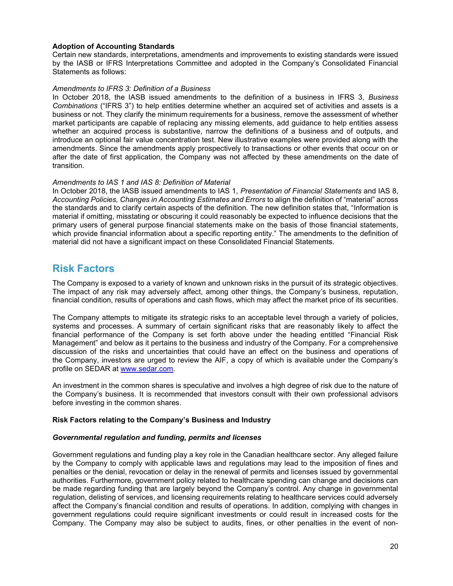# Adoption of Accounting Standards

Certain new standards, interpretations, amendments and improvements to existing standards were issued by the IASB or IFRS Interpretations Committee and adopted in the Company's Consolidated Financial Statements as follows:

# Amendments to IFRS 3: Definition of a Business

In October 2018, the IASB issued amendments to the definition of a business in IFRS 3, Business Combinations ("IFRS 3") to help entities determine whether an acquired set of activities and assets is a business or not. They clarify the minimum requirements for a business, remove the assessment of whether market participants are capable of replacing any missing elements, add guidance to help entities assess whether an acquired process is substantive, narrow the definitions of a business and of outputs, and introduce an optional fair value concentration test. New illustrative examples were provided along with the amendments. Since the amendments apply prospectively to transactions or other events that occur on or after the date of first application, the Company was not affected by these amendments on the date of transition.

# Amendments to IAS 1 and IAS 8: Definition of Material

In October 2018, the IASB issued amendments to IAS 1, Presentation of Financial Statements and IAS 8, Accounting Policies, Changes in Accounting Estimates and Errors to align the definition of "material" across the standards and to clarify certain aspects of the definition. The new definition states that, "Information is material if omitting, misstating or obscuring it could reasonably be expected to influence decisions that the primary users of general purpose financial statements make on the basis of those financial statements, which provide financial information about a specific reporting entity." The amendments to the definition of material did not have a significant impact on these Consolidated Financial Statements.

# Risk Factors

The Company is exposed to a variety of known and unknown risks in the pursuit of its strategic objectives. The impact of any risk may adversely affect, among other things, the Company's business, reputation, financial condition, results of operations and cash flows, which may affect the market price of its securities.

The Company attempts to mitigate its strategic risks to an acceptable level through a variety of policies, systems and processes. A summary of certain significant risks that are reasonably likely to affect the financial performance of the Company is set forth above under the heading entitled "Financial Risk Management" and below as it pertains to the business and industry of the Company. For a comprehensive discussion of the risks and uncertainties that could have an effect on the business and operations of the Company, investors are urged to review the AIF, a copy of which is available under the Company's profile on SEDAR at www.sedar.com.

An investment in the common shares is speculative and involves a high degree of risk due to the nature of the Company's business. It is recommended that investors consult with their own professional advisors before investing in the common shares.

# Risk Factors relating to the Company's Business and Industry

# Governmental regulation and funding, permits and licenses

Government regulations and funding play a key role in the Canadian healthcare sector. Any alleged failure by the Company to comply with applicable laws and regulations may lead to the imposition of fines and penalties or the denial, revocation or delay in the renewal of permits and licenses issued by governmental authorities. Furthermore, government policy related to healthcare spending can change and decisions can be made regarding funding that are largely beyond the Company's control. Any change in governmental regulation, delisting of services, and licensing requirements relating to healthcare services could adversely affect the Company's financial condition and results of operations. In addition, complying with changes in government regulations could require significant investments or could result in increased costs for the Company. The Company may also be subject to audits, fines, or other penalties in the event of non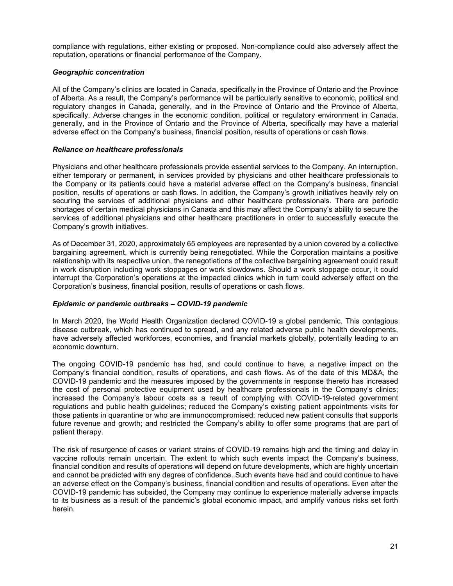compliance with regulations, either existing or proposed. Non-compliance could also adversely affect the reputation, operations or financial performance of the Company.

# Geographic concentration

All of the Company's clinics are located in Canada, specifically in the Province of Ontario and the Province of Alberta. As a result, the Company's performance will be particularly sensitive to economic, political and regulatory changes in Canada, generally, and in the Province of Ontario and the Province of Alberta, specifically. Adverse changes in the economic condition, political or regulatory environment in Canada, generally, and in the Province of Ontario and the Province of Alberta, specifically may have a material adverse effect on the Company's business, financial position, results of operations or cash flows.

# Reliance on healthcare professionals

Physicians and other healthcare professionals provide essential services to the Company. An interruption, either temporary or permanent, in services provided by physicians and other healthcare professionals to the Company or its patients could have a material adverse effect on the Company's business, financial position, results of operations or cash flows. In addition, the Company's growth initiatives heavily rely on securing the services of additional physicians and other healthcare professionals. There are periodic shortages of certain medical physicians in Canada and this may affect the Company's ability to secure the services of additional physicians and other healthcare practitioners in order to successfully execute the Company's growth initiatives.

As of December 31, 2020, approximately 65 employees are represented by a union covered by a collective bargaining agreement, which is currently being renegotiated. While the Corporation maintains a positive relationship with its respective union, the renegotiations of the collective bargaining agreement could result in work disruption including work stoppages or work slowdowns. Should a work stoppage occur, it could interrupt the Corporation's operations at the impacted clinics which in turn could adversely effect on the Corporation's business, financial position, results of operations or cash flows.

# Epidemic or pandemic outbreaks – COVID-19 pandemic

In March 2020, the World Health Organization declared COVID-19 a global pandemic. This contagious disease outbreak, which has continued to spread, and any related adverse public health developments, have adversely affected workforces, economies, and financial markets globally, potentially leading to an economic downturn.

The ongoing COVID-19 pandemic has had, and could continue to have, a negative impact on the Company's financial condition, results of operations, and cash flows. As of the date of this MD&A, the COVID-19 pandemic and the measures imposed by the governments in response thereto has increased the cost of personal protective equipment used by healthcare professionals in the Company's clinics; increased the Company's labour costs as a result of complying with COVID-19-related government regulations and public health guidelines; reduced the Company's existing patient appointments visits for those patients in quarantine or who are immunocompromised; reduced new patient consults that supports future revenue and growth; and restricted the Company's ability to offer some programs that are part of patient therapy.

The risk of resurgence of cases or variant strains of COVID-19 remains high and the timing and delay in vaccine rollouts remain uncertain. The extent to which such events impact the Company's business, financial condition and results of operations will depend on future developments, which are highly uncertain and cannot be predicted with any degree of confidence. Such events have had and could continue to have an adverse effect on the Company's business, financial condition and results of operations. Even after the COVID-19 pandemic has subsided, the Company may continue to experience materially adverse impacts to its business as a result of the pandemic's global economic impact, and amplify various risks set forth herein.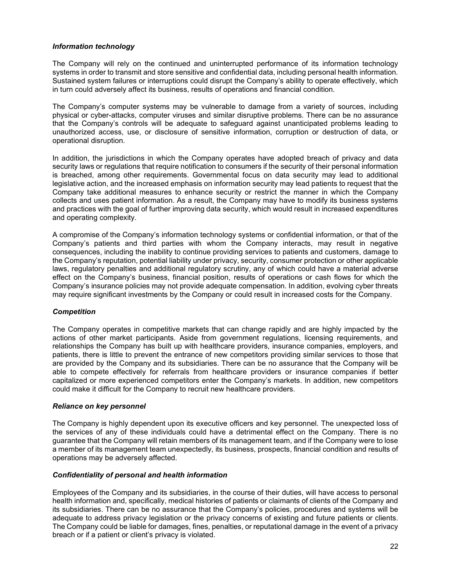# Information technology

The Company will rely on the continued and uninterrupted performance of its information technology systems in order to transmit and store sensitive and confidential data, including personal health information. Sustained system failures or interruptions could disrupt the Company's ability to operate effectively, which in turn could adversely affect its business, results of operations and financial condition.

The Company's computer systems may be vulnerable to damage from a variety of sources, including physical or cyber-attacks, computer viruses and similar disruptive problems. There can be no assurance that the Company's controls will be adequate to safeguard against unanticipated problems leading to unauthorized access, use, or disclosure of sensitive information, corruption or destruction of data, or operational disruption.

In addition, the jurisdictions in which the Company operates have adopted breach of privacy and data security laws or regulations that require notification to consumers if the security of their personal information is breached, among other requirements. Governmental focus on data security may lead to additional legislative action, and the increased emphasis on information security may lead patients to request that the Company take additional measures to enhance security or restrict the manner in which the Company collects and uses patient information. As a result, the Company may have to modify its business systems and practices with the goal of further improving data security, which would result in increased expenditures and operating complexity.

A compromise of the Company's information technology systems or confidential information, or that of the Company's patients and third parties with whom the Company interacts, may result in negative consequences, including the inability to continue providing services to patients and customers, damage to the Company's reputation, potential liability under privacy, security, consumer protection or other applicable laws, regulatory penalties and additional regulatory scrutiny, any of which could have a material adverse effect on the Company's business, financial position, results of operations or cash flows for which the Company's insurance policies may not provide adequate compensation. In addition, evolving cyber threats may require significant investments by the Company or could result in increased costs for the Company.

# **Competition**

The Company operates in competitive markets that can change rapidly and are highly impacted by the actions of other market participants. Aside from government regulations, licensing requirements, and relationships the Company has built up with healthcare providers, insurance companies, employers, and patients, there is little to prevent the entrance of new competitors providing similar services to those that are provided by the Company and its subsidiaries. There can be no assurance that the Company will be able to compete effectively for referrals from healthcare providers or insurance companies if better capitalized or more experienced competitors enter the Company's markets. In addition, new competitors could make it difficult for the Company to recruit new healthcare providers.

# Reliance on key personnel

The Company is highly dependent upon its executive officers and key personnel. The unexpected loss of the services of any of these individuals could have a detrimental effect on the Company. There is no guarantee that the Company will retain members of its management team, and if the Company were to lose a member of its management team unexpectedly, its business, prospects, financial condition and results of operations may be adversely affected.

# Confidentiality of personal and health information

Employees of the Company and its subsidiaries, in the course of their duties, will have access to personal health information and, specifically, medical histories of patients or claimants of clients of the Company and its subsidiaries. There can be no assurance that the Company's policies, procedures and systems will be adequate to address privacy legislation or the privacy concerns of existing and future patients or clients. The Company could be liable for damages, fines, penalties, or reputational damage in the event of a privacy breach or if a patient or client's privacy is violated.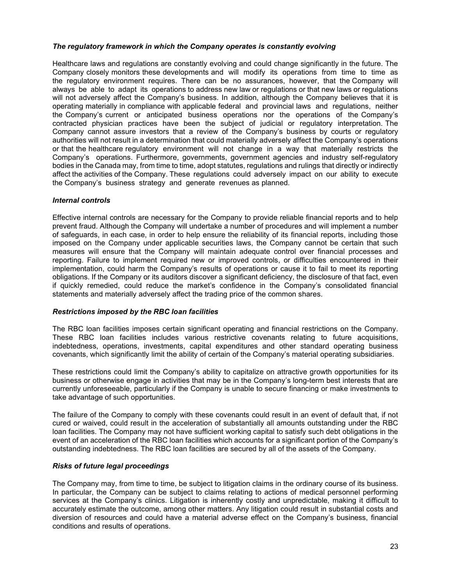# The regulatory framework in which the Company operates is constantly evolving

Healthcare laws and regulations are constantly evolving and could change significantly in the future. The Company closely monitors these developments and will modify its operations from time to time as the regulatory environment requires. There can be no assurances, however, that the Company will always be able to adapt its operations to address new law or regulations or that new laws or regulations will not adversely affect the Company's business. In addition, although the Company believes that it is operating materially in compliance with applicable federal and provincial laws and regulations, neither the Company's current or anticipated business operations nor the operations of the Company's contracted physician practices have been the subject of judicial or regulatory interpretation. The Company cannot assure investors that a review of the Company's business by courts or regulatory authorities will not result in a determination that could materially adversely affect the Company's operations or that the healthcare regulatory environment will not change in a way that materially restricts the Company's operations. Furthermore, governments, government agencies and industry self-regulatory bodies in the Canada may, from time to time, adopt statutes, regulations and rulings that directly or indirectly affect the activities of the Company. These regulations could adversely impact on our ability to execute the Company's business strategy and generate revenues as planned.

# Internal controls

Effective internal controls are necessary for the Company to provide reliable financial reports and to help prevent fraud. Although the Company will undertake a number of procedures and will implement a number of safeguards, in each case, in order to help ensure the reliability of its financial reports, including those imposed on the Company under applicable securities laws, the Company cannot be certain that such measures will ensure that the Company will maintain adequate control over financial processes and reporting. Failure to implement required new or improved controls, or difficulties encountered in their implementation, could harm the Company's results of operations or cause it to fail to meet its reporting obligations. If the Company or its auditors discover a significant deficiency, the disclosure of that fact, even if quickly remedied, could reduce the market's confidence in the Company's consolidated financial statements and materially adversely affect the trading price of the common shares.

# Restrictions imposed by the RBC loan facilities

The RBC loan facilities imposes certain significant operating and financial restrictions on the Company. These RBC loan facilities includes various restrictive covenants relating to future acquisitions, indebtedness, operations, investments, capital expenditures and other standard operating business covenants, which significantly limit the ability of certain of the Company's material operating subsidiaries.

These restrictions could limit the Company's ability to capitalize on attractive growth opportunities for its business or otherwise engage in activities that may be in the Company's long-term best interests that are currently unforeseeable, particularly if the Company is unable to secure financing or make investments to take advantage of such opportunities.

The failure of the Company to comply with these covenants could result in an event of default that, if not cured or waived, could result in the acceleration of substantially all amounts outstanding under the RBC loan facilities. The Company may not have sufficient working capital to satisfy such debt obligations in the event of an acceleration of the RBC loan facilities which accounts for a significant portion of the Company's outstanding indebtedness. The RBC loan facilities are secured by all of the assets of the Company.

# Risks of future legal proceedings

The Company may, from time to time, be subject to litigation claims in the ordinary course of its business. In particular, the Company can be subject to claims relating to actions of medical personnel performing services at the Company's clinics. Litigation is inherently costly and unpredictable, making it difficult to accurately estimate the outcome, among other matters. Any litigation could result in substantial costs and diversion of resources and could have a material adverse effect on the Company's business, financial conditions and results of operations.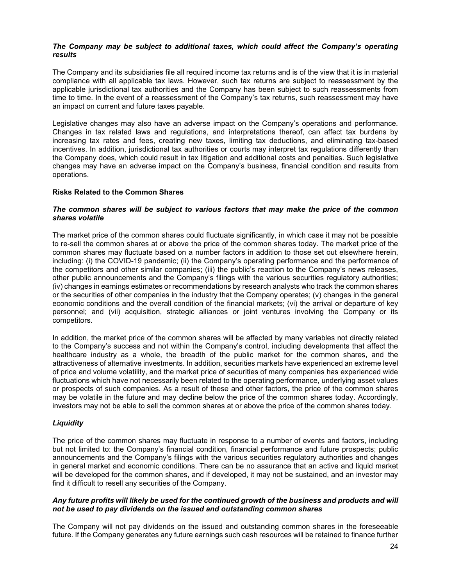### The Company may be subject to additional taxes, which could affect the Company's operating results

The Company and its subsidiaries file all required income tax returns and is of the view that it is in material compliance with all applicable tax laws. However, such tax returns are subject to reassessment by the applicable jurisdictional tax authorities and the Company has been subject to such reassessments from time to time. In the event of a reassessment of the Company's tax returns, such reassessment may have an impact on current and future taxes payable.

Legislative changes may also have an adverse impact on the Company's operations and performance. Changes in tax related laws and regulations, and interpretations thereof, can affect tax burdens by increasing tax rates and fees, creating new taxes, limiting tax deductions, and eliminating tax-based incentives. In addition, jurisdictional tax authorities or courts may interpret tax regulations differently than the Company does, which could result in tax litigation and additional costs and penalties. Such legislative changes may have an adverse impact on the Company's business, financial condition and results from operations.

# Risks Related to the Common Shares

### The common shares will be subject to various factors that may make the price of the common shares volatile

The market price of the common shares could fluctuate significantly, in which case it may not be possible to re-sell the common shares at or above the price of the common shares today. The market price of the common shares may fluctuate based on a number factors in addition to those set out elsewhere herein, including: (i) the COVID-19 pandemic; (ii) the Company's operating performance and the performance of the competitors and other similar companies; (iii) the public's reaction to the Company's news releases, other public announcements and the Company's filings with the various securities regulatory authorities; (iv) changes in earnings estimates or recommendations by research analysts who track the common shares or the securities of other companies in the industry that the Company operates; (v) changes in the general economic conditions and the overall condition of the financial markets; (vi) the arrival or departure of key personnel; and (vii) acquisition, strategic alliances or joint ventures involving the Company or its competitors.

In addition, the market price of the common shares will be affected by many variables not directly related to the Company's success and not within the Company's control, including developments that affect the healthcare industry as a whole, the breadth of the public market for the common shares, and the attractiveness of alternative investments. In addition, securities markets have experienced an extreme level of price and volume volatility, and the market price of securities of many companies has experienced wide fluctuations which have not necessarily been related to the operating performance, underlying asset values or prospects of such companies. As a result of these and other factors, the price of the common shares may be volatile in the future and may decline below the price of the common shares today. Accordingly, investors may not be able to sell the common shares at or above the price of the common shares today.

# **Liquidity**

The price of the common shares may fluctuate in response to a number of events and factors, including but not limited to: the Company's financial condition, financial performance and future prospects; public announcements and the Company's filings with the various securities regulatory authorities and changes in general market and economic conditions. There can be no assurance that an active and liquid market will be developed for the common shares, and if developed, it may not be sustained, and an investor may find it difficult to resell any securities of the Company.

# Any future profits will likely be used for the continued growth of the business and products and will not be used to pay dividends on the issued and outstanding common shares

The Company will not pay dividends on the issued and outstanding common shares in the foreseeable future. If the Company generates any future earnings such cash resources will be retained to finance further